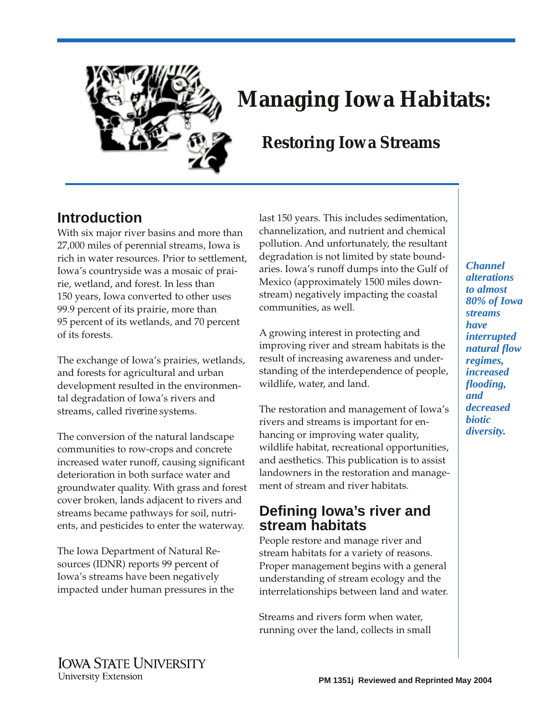

# **Managing Iowa Habitats:**

# **Restoring Iowa Streams**

# **Introduction**

With six major river basins and more than 27,000 miles of perennial streams, Iowa is rich in water resources. Prior to settlement, Iowa's countryside was a mosaic of prairie, wetland, and forest. In less than 150 years, Iowa converted to other uses 99.9 percent of its prairie, more than 95 percent of its wetlands, and 70 percent of its forests.

The exchange of Iowa's prairies, wetlands, and forests for agricultural and urban development resulted in the environmental degradation of Iowa's rivers and streams, called *riverine* systems.

The conversion of the natural landscape communities to row-crops and concrete increased water runoff, causing significant deterioration in both surface water and groundwater quality. With grass and forest cover broken, lands adjacent to rivers and streams became pathways for soil, nutrients, and pesticides to enter the waterway.

The Iowa Department of Natural Resources (IDNR) reports 99 percent of Iowa's streams have been negatively impacted under human pressures in the

last 150 years. This includes sedimentation, channelization, and nutrient and chemical pollution. And unfortunately, the resultant degradation is not limited by state boundaries. Iowa's runoff dumps into the Gulf of Mexico (approximately 1500 miles downstream) negatively impacting the coastal communities, as well.

A growing interest in protecting and improving river and stream habitats is the result of increasing awareness and understanding of the interdependence of people, wildlife, water, and land.

The restoration and management of Iowa's rivers and streams is important for enhancing or improving water quality, wildlife habitat, recreational opportunities, and aesthetics. This publication is to assist landowners in the restoration and management of stream and river habitats.

# **Defining Iowa's river and stream habitats**

People restore and manage river and stream habitats for a variety of reasons. Proper management begins with a general understanding of stream ecology and the interrelationships between land and water.

Streams and rivers form when water, running over the land, collects in small

*Channel alterations to almost 80% of Iowa streams have interrupted natural flow regimes, increased flooding, and decreased biotic diversity.*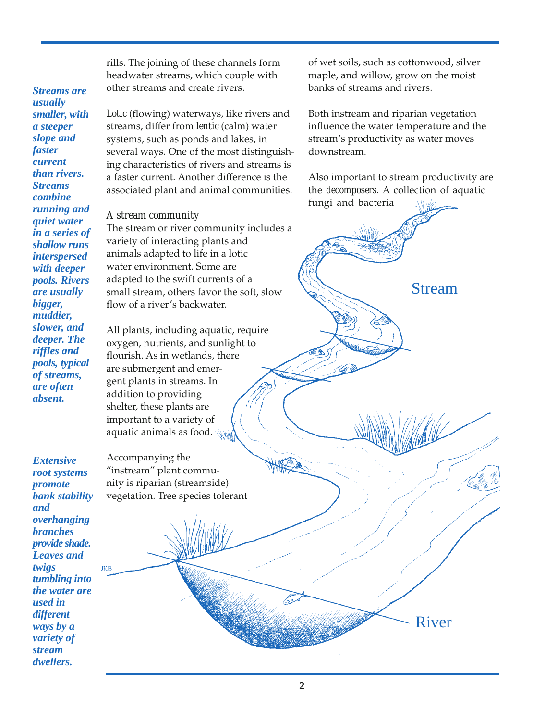*Streams are usually smaller, with a steeper slope and faster current than rivers. Streams combine running and quiet water in a series of shallow runs interspersed with deeper pools. Rivers are usually bigger, muddier, slower, and deeper. The riffles and pools, typical of streams, are often absent.* 

*Extensive root systems promote bank stability and overhanging branches provide shade. Leaves and twigs tumbling into the water are used in different ways by a variety of stream dwellers.* 

JKB

rills. The joining of these channels form headwater streams, which couple with other streams and create rivers.

*Lotic* (flowing) waterways, like rivers and streams, differ from *lentic* (calm) water systems, such as ponds and lakes, in several ways. One of the most distinguishing characteristics of rivers and streams is a faster current. Another difference is the associated plant and animal communities.

### *A stream community*

The stream or river community includes a variety of interacting plants and animals adapted to life in a lotic water environment. Some are adapted to the swift currents of a small stream, others favor the soft, slow flow of a river's backwater.

All plants, including aquatic, require oxygen, nutrients, and sunlight to flourish. As in wetlands, there are submergent and emergent plants in streams. In addition to providing shelter, these plants are important to a variety of aquatic animals as food.

Accompanying the "instream" plant community is riparian (streamside) vegetation. Tree species tolerant of wet soils, such as cottonwood, silver maple, and willow, grow on the moist banks of streams and rivers.

Both instream and riparian vegetation influence the water temperature and the stream's productivity as water moves downstream.

fungi and bacteria Also important to stream productivity are the *decomposers*. A collection of aquatic

Stream

River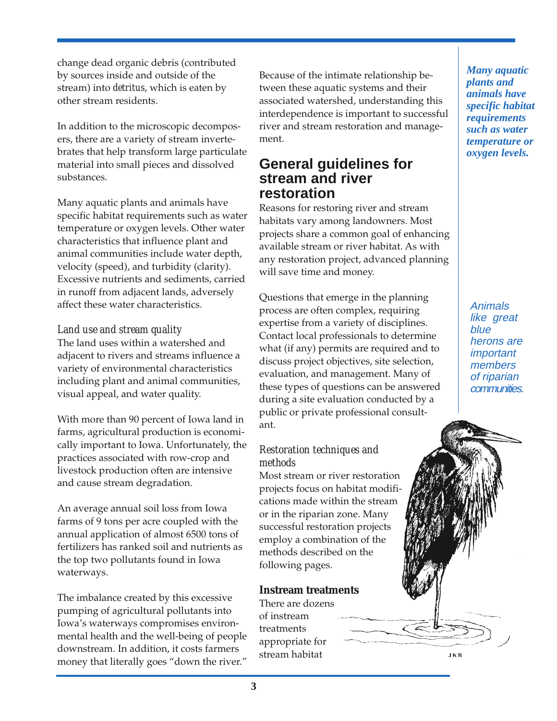change dead organic debris (contributed by sources inside and outside of the stream) into *detritus*, which is eaten by other stream residents.

In addition to the microscopic decomposers, there are a variety of stream invertebrates that help transform large particulate material into small pieces and dissolved substances.

Many aquatic plants and animals have specific habitat requirements such as water temperature or oxygen levels. Other water characteristics that influence plant and animal communities include water depth, velocity (speed), and turbidity (clarity). Excessive nutrients and sediments, carried in runoff from adjacent lands, adversely affect these water characteristics.

### *Land use and stream quality*

The land uses within a watershed and adjacent to rivers and streams influence a variety of environmental characteristics including plant and animal communities, visual appeal, and water quality.

With more than 90 percent of Iowa land in farms, agricultural production is economically important to Iowa. Unfortunately, the practices associated with row-crop and livestock production often are intensive and cause stream degradation.

An average annual soil loss from Iowa farms of 9 tons per acre coupled with the annual application of almost 6500 tons of fertilizers has ranked soil and nutrients as the top two pollutants found in Iowa waterways.

The imbalance created by this excessive pumping of agricultural pollutants into Iowa's waterways compromises environmental health and the well-being of people downstream. In addition, it costs farmers money that literally goes "down the river."

Because of the intimate relationship between these aquatic systems and their associated watershed, understanding this interdependence is important to successful river and stream restoration and management.

## **General guidelines for stream and river restoration**

Reasons for restoring river and stream habitats vary among landowners. Most projects share a common goal of enhancing available stream or river habitat. As with any restoration project, advanced planning will save time and money.

Questions that emerge in the planning process are often complex, requiring expertise from a variety of disciplines. Contact local professionals to determine what (if any) permits are required and to discuss project objectives, site selection, evaluation, and management. Many of these types of questions can be answered during a site evaluation conducted by a public or private professional consultant.

### *Restoration techniques and methods*

Most stream or river restoration projects focus on habitat modifications made within the stream or in the riparian zone. Many successful restoration projects employ a combination of the methods described on the following pages.

### **Instream treatments**

There are dozens of instream treatments appropriate for stream habitat

*Many aquatic plants and animals have specific habitat requirements such as water temperature or oxygen levels.* 

Animals like great blue herons are important members of riparian communities.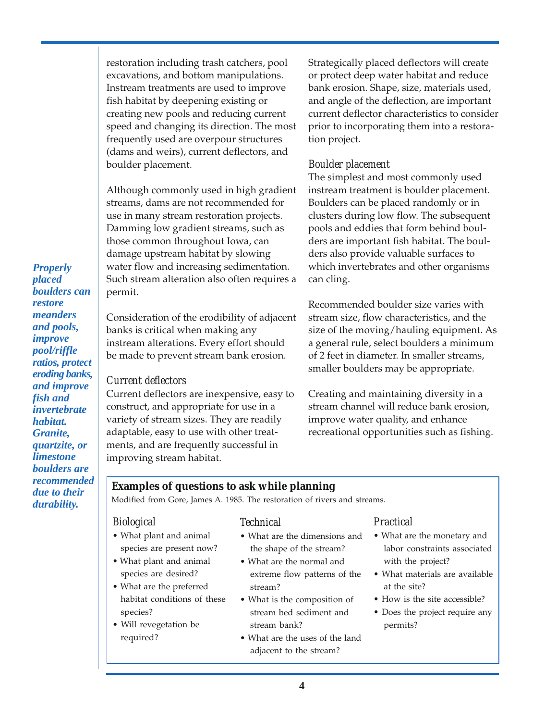restoration including trash catchers, pool excavations, and bottom manipulations. Instream treatments are used to improve fish habitat by deepening existing or creating new pools and reducing current speed and changing its direction. The most frequently used are overpour structures (dams and weirs), current deflectors, and boulder placement.

Although commonly used in high gradient streams, dams are not recommended for use in many stream restoration projects. Damming low gradient streams, such as those common throughout Iowa, can damage upstream habitat by slowing water flow and increasing sedimentation. Such stream alteration also often requires a permit.

Consideration of the erodibility of adjacent banks is critical when making any instream alterations. Every effort should be made to prevent stream bank erosion.

### *Current deflectors*

Current deflectors are inexpensive, easy to construct, and appropriate for use in a variety of stream sizes. They are readily adaptable, easy to use with other treatments, and are frequently successful in improving stream habitat.

Strategically placed deflectors will create or protect deep water habitat and reduce bank erosion. Shape, size, materials used, and angle of the deflection, are important current deflector characteristics to consider prior to incorporating them into a restoration project.

### *Boulder placement*

The simplest and most commonly used instream treatment is boulder placement. Boulders can be placed randomly or in clusters during low flow. The subsequent pools and eddies that form behind boulders are important fish habitat. The boulders also provide valuable surfaces to which invertebrates and other organisms can cling.

Recommended boulder size varies with stream size, flow characteristics, and the size of the moving/hauling equipment. As a general rule, select boulders a minimum of 2 feet in diameter. In smaller streams, smaller boulders may be appropriate.

Creating and maintaining diversity in a stream channel will reduce bank erosion, improve water quality, and enhance recreational opportunities such as fishing.

### **Examples of questions to ask while planning**

Modified from Gore, James A. 1985. The restoration of rivers and streams.

### *Biological Technical Practical*

- 
- 
- 
- 

- 
- What plant and animal What are the normal and with the project? species are desired? extreme flow patterns of the • What materials are available • What are the preferred stream? The stream stream in the site?
- habitat conditions of these What is the composition of How is the site accessible? • Will revegetation be stream bank? permits?
	- required? What are the uses of the land adjacent to the stream?

- What plant and animal What are the dimensions and What are the monetary and species are present now? the shape of the stream? labor constraints associated
	-
	-
	- species? stream bed sediment and Does the project require any

*Properly placed boulders can restore meanders and pools, improve pool/riffle ratios, protect eroding banks, and improve fish and invertebrate habitat. Granite, quartzite, or limestone boulders are recommended due to their durability.*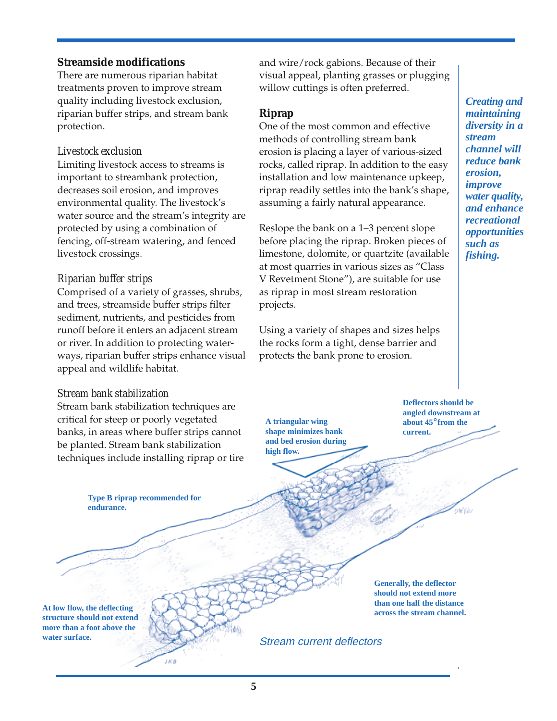### **Streamside modifications**

There are numerous riparian habitat treatments proven to improve stream quality including livestock exclusion, riparian buffer strips, and stream bank protection.

### *Livestock exclusion*

Limiting livestock access to streams is important to streambank protection, decreases soil erosion, and improves environmental quality. The livestock's water source and the stream's integrity are protected by using a combination of fencing, off-stream watering, and fenced livestock crossings.

### *Riparian buffer strips*

Comprised of a variety of grasses, shrubs, and trees, streamside buffer strips filter sediment, nutrients, and pesticides from runoff before it enters an adjacent stream or river. In addition to protecting waterways, riparian buffer strips enhance visual appeal and wildlife habitat.

### *Stream bank stabilization*

Stream bank stabilization techniques are critical for steep or poorly vegetated banks, in areas where buffer strips cannot be planted. Stream bank stabilization techniques include installing riprap or tire

> **Type B riprap recommended for endurance.**

and wire/rock gabions. Because of their visual appeal, planting grasses or plugging willow cuttings is often preferred.

### **Riprap**

One of the most common and effective methods of controlling stream bank erosion is placing a layer of various-sized rocks, called riprap. In addition to the easy installation and low maintenance upkeep, riprap readily settles into the bank's shape, assuming a fairly natural appearance.

Reslope the bank on a 1–3 percent slope before placing the riprap. Broken pieces of limestone, dolomite, or quartzite (available at most quarries in various sizes as "Class V Revetment Stone"), are suitable for use as riprap in most stream restoration projects.

Using a variety of shapes and sizes helps the rocks form a tight, dense barrier and protects the bank prone to erosion.

*Creating and maintaining diversity in a stream channel will reduce bank erosion, improve water quality, and enhance recreational opportunities such as fishing.* 

**Deflectors should be angled downstream at A triangular wing about 45**°**from the shape minimizes bank** current.

Willia

**At low flow, the deflecting structure should not extend more than a foot above the water surface.** 

**Generally, the deflector should not extend more than one half the distance across the stream channel.** 

```
Stream current deflectors
```
**and bed erosion during** 

**high flow.**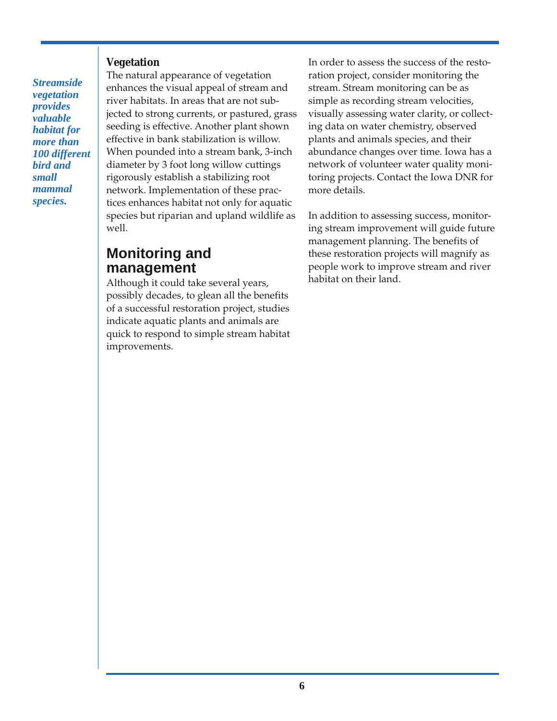### **Vegetation**

*Streamside vegetation provides valuable habitat for more than 100 different bird and small mammal species.* 

The natural appearance of vegetation enhances the visual appeal of stream and river habitats. In areas that are not subjected to strong currents, or pastured, grass seeding is effective. Another plant shown effective in bank stabilization is willow. When pounded into a stream bank, 3-inch diameter by 3 foot long willow cuttings rigorously establish a stabilizing root network. Implementation of these practices enhances habitat not only for aquatic species but riparian and upland wildlife as well.

## **Monitoring and management**

Although it could take several years, possibly decades, to glean all the benefits of a successful restoration project, studies indicate aquatic plants and animals are quick to respond to simple stream habitat improvements.

In order to assess the success of the restoration project, consider monitoring the stream. Stream monitoring can be as simple as recording stream velocities, visually assessing water clarity, or collecting data on water chemistry, observed plants and animals species, and their abundance changes over time. Iowa has a network of volunteer water quality monitoring projects. Contact the Iowa DNR for more details.

In addition to assessing success, monitoring stream improvement will guide future management planning. The benefits of these restoration projects will magnify as people work to improve stream and river habitat on their land.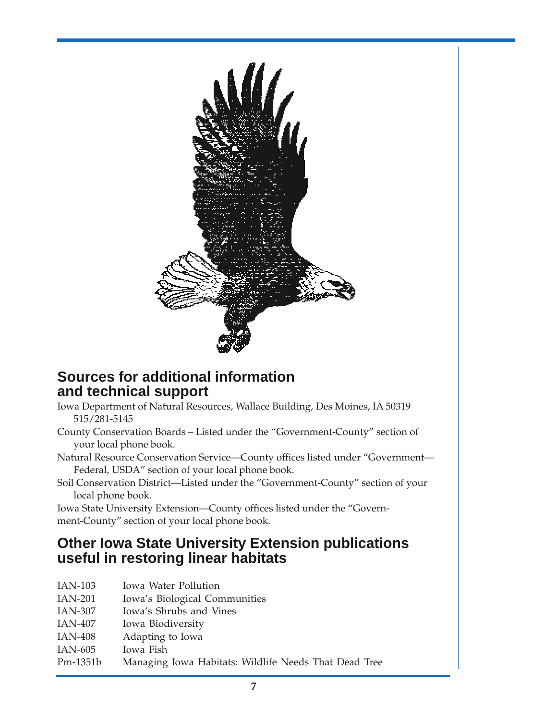

# **Sources for additional information and technical support**

- Iowa Department of Natural Resources, Wallace Building, Des Moines, IA 50319 515/281-5145
- County Conservation Boards Listed under the "Government-County" section of your local phone book.
- Natural Resource Conservation Service—County offices listed under "Government— Federal, USDA" section of your local phone book.
- Soil Conservation District—Listed under the "Government-County" section of your local phone book.

Iowa State University Extension—County offices listed under the "Government-County" section of your local phone book.

# **Other Iowa State University Extension publications useful in restoring linear habitats**

- IAN-103 Iowa Water Pollution
- IAN-201 Iowa's Biological Communities
- IAN-307 Iowa's Shrubs and Vines
- IAN-407 Iowa Biodiversity
- IAN-408 Adapting to Iowa
- IAN-605 Iowa Fish
- Pm-1351b Managing Iowa Habitats: Wildlife Needs That Dead Tree